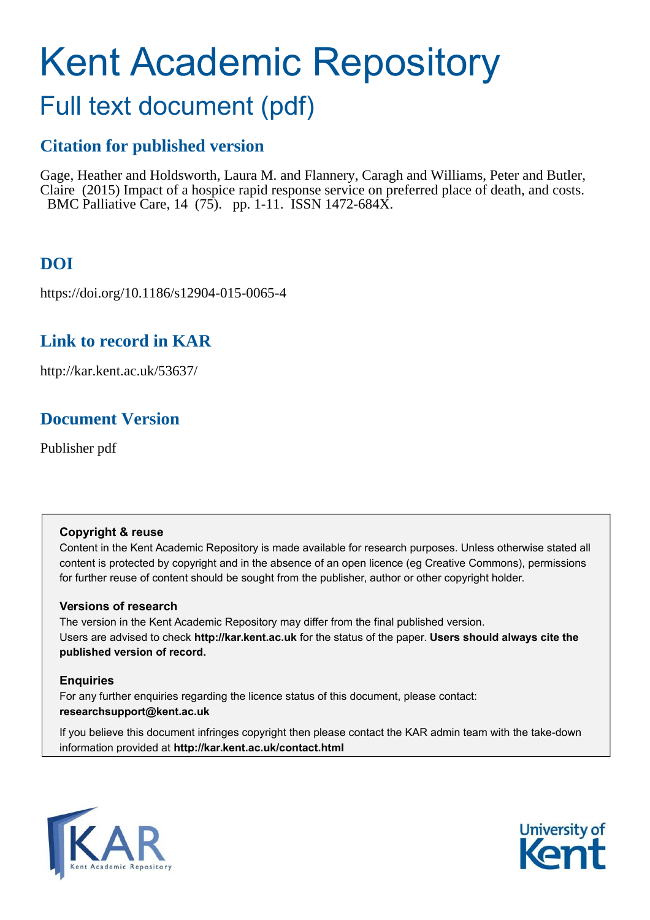# Kent Academic Repository

# Full text document (pdf)

# **Citation for published version**

Gage, Heather and Holdsworth, Laura M. and Flannery, Caragh and Williams, Peter and Butler, Claire (2015) Impact of a hospice rapid response service on preferred place of death, and costs. BMC Palliative Care, 14 (75). pp. 1-11. ISSN 1472-684X.

# **DOI**

https://doi.org/10.1186/s12904-015-0065-4

# **Link to record in KAR**

http://kar.kent.ac.uk/53637/

# **Document Version**

Publisher pdf

## **Copyright & reuse**

Content in the Kent Academic Repository is made available for research purposes. Unless otherwise stated all content is protected by copyright and in the absence of an open licence (eg Creative Commons), permissions for further reuse of content should be sought from the publisher, author or other copyright holder.

## **Versions of research**

The version in the Kent Academic Repository may differ from the final published version. Users are advised to check **http://kar.kent.ac.uk** for the status of the paper. **Users should always cite the published version of record.**

## **Enquiries**

For any further enquiries regarding the licence status of this document, please contact: **researchsupport@kent.ac.uk**

If you believe this document infringes copyright then please contact the KAR admin team with the take-down information provided at **http://kar.kent.ac.uk/contact.html**



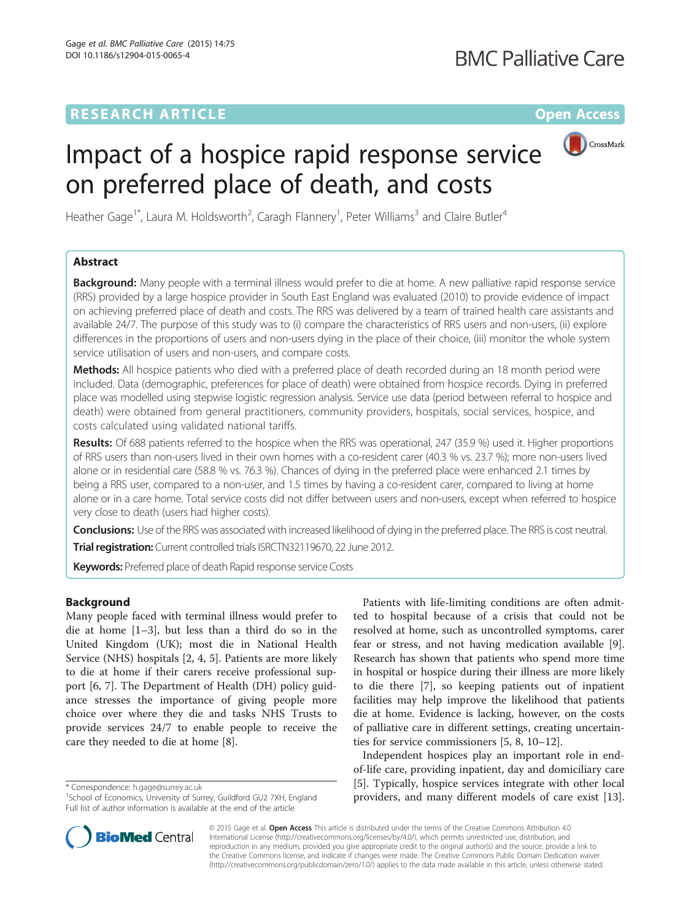# <span id="page-1-0"></span>**RESEARCH ARTICLE Example 2014 12:30 The Contract of Contract ACCESS**



# Impact of a hospice rapid response service on preferred place of death, and costs

Heather Gage<sup>1\*</sup>, Laura M. Holdsworth<sup>2</sup>, Caragh Flannery<sup>1</sup>, Peter Williams<sup>3</sup> and Claire Butler<sup>4</sup>

#### Abstract

Background: Many people with a terminal illness would prefer to die at home. A new palliative rapid response service (RRS) provided by a large hospice provider in South East England was evaluated (2010) to provide evidence of impact on achieving preferred place of death and costs. The RRS was delivered by a team of trained health care assistants and available 24/7. The purpose of this study was to (i) compare the characteristics of RRS users and non-users, (ii) explore differences in the proportions of users and non-users dying in the place of their choice, (iii) monitor the whole system service utilisation of users and non-users, and compare costs.

Methods: All hospice patients who died with a preferred place of death recorded during an 18 month period were included. Data (demographic, preferences for place of death) were obtained from hospice records. Dying in preferred place was modelled using stepwise logistic regression analysis. Service use data (period between referral to hospice and death) were obtained from general practitioners, community providers, hospitals, social services, hospice, and costs calculated using validated national tariffs.

Results: Of 688 patients referred to the hospice when the RRS was operational, 247 (35.9 %) used it. Higher proportions of RRS users than non-users lived in their own homes with a co-resident carer (40.3 % vs. 23.7 %); more non-users lived alone or in residential care (58.8 % vs. 76.3 %). Chances of dying in the preferred place were enhanced 2.1 times by being a RRS user, compared to a non-user, and 1.5 times by having a co-resident carer, compared to living at home alone or in a care home. Total service costs did not differ between users and non-users, except when referred to hospice very close to death (users had higher costs).

Conclusions: Use of the RRS was associated with increased likelihood of dying in the preferred place. The RRS is cost neutral.

Trial registration: Current controlled trials [ISRCTN32119670,](http://www.controlled-trials.com/ISRCTN32119670) 22 June 2012.

Keywords: Preferred place of death Rapid response service Costs

#### Background

Many people faced with terminal illness would prefer to die at home [[1](#page-10-0)–[3](#page-10-0)], but less than a third do so in the United Kingdom (UK); most die in National Health Service (NHS) hospitals [\[2](#page-10-0), [4](#page-10-0), [5](#page-10-0)]. Patients are more likely to die at home if their carers receive professional support [\[6](#page-10-0), [7](#page-10-0)]. The Department of Health (DH) policy guidance stresses the importance of giving people more choice over where they die and tasks NHS Trusts to provide services 24/7 to enable people to receive the care they needed to die at home [[8\]](#page-10-0).

\* Correspondence: [h.gage@surrey.ac.uk](mailto:h.gage@surrey.ac.uk)

Patients with life-limiting conditions are often admitted to hospital because of a crisis that could not be resolved at home, such as uncontrolled symptoms, carer fear or stress, and not having medication available [\[9](#page-10-0)]. Research has shown that patients who spend more time in hospital or hospice during their illness are more likely to die there [\[7](#page-10-0)], so keeping patients out of inpatient facilities may help improve the likelihood that patients die at home. Evidence is lacking, however, on the costs of palliative care in different settings, creating uncertainties for service commissioners [\[5](#page-10-0), [8](#page-10-0), [10](#page-10-0)–[12\]](#page-10-0).

Independent hospices play an important role in endof-life care, providing inpatient, day and domiciliary care [[5\]](#page-10-0). Typically, hospice services integrate with other local providers, and many different models of care exist [\[13](#page-10-0)].



© 2015 Gage et al. Open Access This article is distributed under the terms of the Creative Commons Attribution 4.0 International License [\(http://creativecommons.org/licenses/by/4.0/](http://creativecommons.org/licenses/by/4.0/)), which permits unrestricted use, distribution, and reproduction in any medium, provided you give appropriate credit to the original author(s) and the source, provide a link to the Creative Commons license, and indicate if changes were made. The Creative Commons Public Domain Dedication waiver [\(http://creativecommons.org/publicdomain/zero/1.0/](http://creativecommons.org/publicdomain/zero/1.0/)) applies to the data made available in this article, unless otherwise stated.

<sup>&</sup>lt;sup>1</sup>School of Economics, University of Surrey, Guildford GU2 7XH, England Full list of author information is available at the end of the article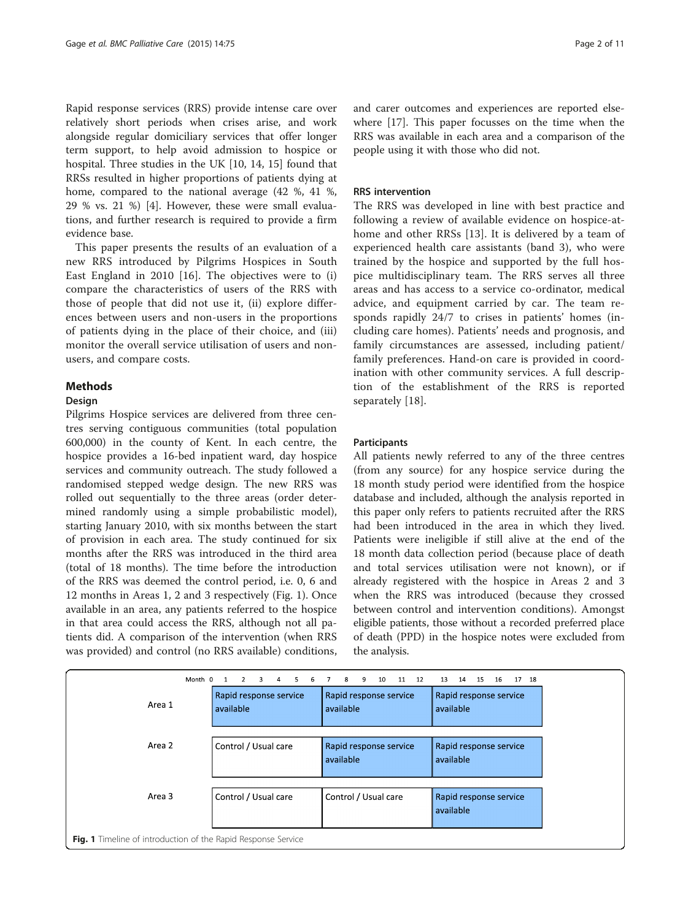Rapid response services (RRS) provide intense care over relatively short periods when crises arise, and work alongside regular domiciliary services that offer longer term support, to help avoid admission to hospice or hospital. Three studies in the UK [[10](#page-10-0), [14, 15\]](#page-10-0) found that RRSs resulted in higher proportions of patients dying at home, compared to the national average (42 %, 41 %, 29 % vs. 21 %) [[4\]](#page-10-0). However, these were small evaluations, and further research is required to provide a firm evidence base.

This paper presents the results of an evaluation of a new RRS introduced by Pilgrims Hospices in South East England in 2010 [[16\]](#page-10-0). The objectives were to (i) compare the characteristics of users of the RRS with those of people that did not use it, (ii) explore differences between users and non-users in the proportions of patients dying in the place of their choice, and (iii) monitor the overall service utilisation of users and nonusers, and compare costs.

#### Methods

#### **Design**

Pilgrims Hospice services are delivered from three centres serving contiguous communities (total population 600,000) in the county of Kent. In each centre, the hospice provides a 16-bed inpatient ward, day hospice services and community outreach. The study followed a randomised stepped wedge design. The new RRS was rolled out sequentially to the three areas (order determined randomly using a simple probabilistic model), starting January 2010, with six months between the start of provision in each area. The study continued for six months after the RRS was introduced in the third area (total of 18 months). The time before the introduction of the RRS was deemed the control period, i.e. 0, 6 and 12 months in Areas 1, 2 and 3 respectively (Fig. [1](#page-1-0)). Once available in an area, any patients referred to the hospice in that area could access the RRS, although not all patients did. A comparison of the intervention (when RRS was provided) and control (no RRS available) conditions, and carer outcomes and experiences are reported elsewhere [[17\]](#page-10-0). This paper focusses on the time when the RRS was available in each area and a comparison of the people using it with those who did not.

#### RRS intervention

The RRS was developed in line with best practice and following a review of available evidence on hospice-athome and other RRSs [\[13](#page-10-0)]. It is delivered by a team of experienced health care assistants (band 3), who were trained by the hospice and supported by the full hospice multidisciplinary team. The RRS serves all three areas and has access to a service co-ordinator, medical advice, and equipment carried by car. The team responds rapidly 24/7 to crises in patients' homes (including care homes). Patients' needs and prognosis, and family circumstances are assessed, including patient/ family preferences. Hand-on care is provided in coordination with other community services. A full description of the establishment of the RRS is reported separately [\[18](#page-10-0)].

#### Participants

All patients newly referred to any of the three centres (from any source) for any hospice service during the 18 month study period were identified from the hospice database and included, although the analysis reported in this paper only refers to patients recruited after the RRS had been introduced in the area in which they lived. Patients were ineligible if still alive at the end of the 18 month data collection period (because place of death and total services utilisation were not known), or if already registered with the hospice in Areas 2 and 3 when the RRS was introduced (because they crossed between control and intervention conditions). Amongst eligible patients, those without a recorded preferred place of death (PPD) in the hospice notes were excluded from the analysis.

| Area 1                                                        | Month 0 | Rapid response service<br>available | 3 | 4 | 5. | 6 | 8<br>available | 9                    | 10 | 11<br>Rapid response service | 12 | 13<br>Rapid response service<br>available | 14 | 15 | 16 | 17 18 |
|---------------------------------------------------------------|---------|-------------------------------------|---|---|----|---|----------------|----------------------|----|------------------------------|----|-------------------------------------------|----|----|----|-------|
| Area 2                                                        |         | Control / Usual care                |   |   |    |   | available      |                      |    | Rapid response service       |    | Rapid response service<br>available       |    |    |    |       |
| Area 3                                                        |         | Control / Usual care                |   |   |    |   |                | Control / Usual care |    |                              |    | Rapid response service<br>available       |    |    |    |       |
| Fig. 1 Timeline of introduction of the Rapid Response Service |         |                                     |   |   |    |   |                |                      |    |                              |    |                                           |    |    |    |       |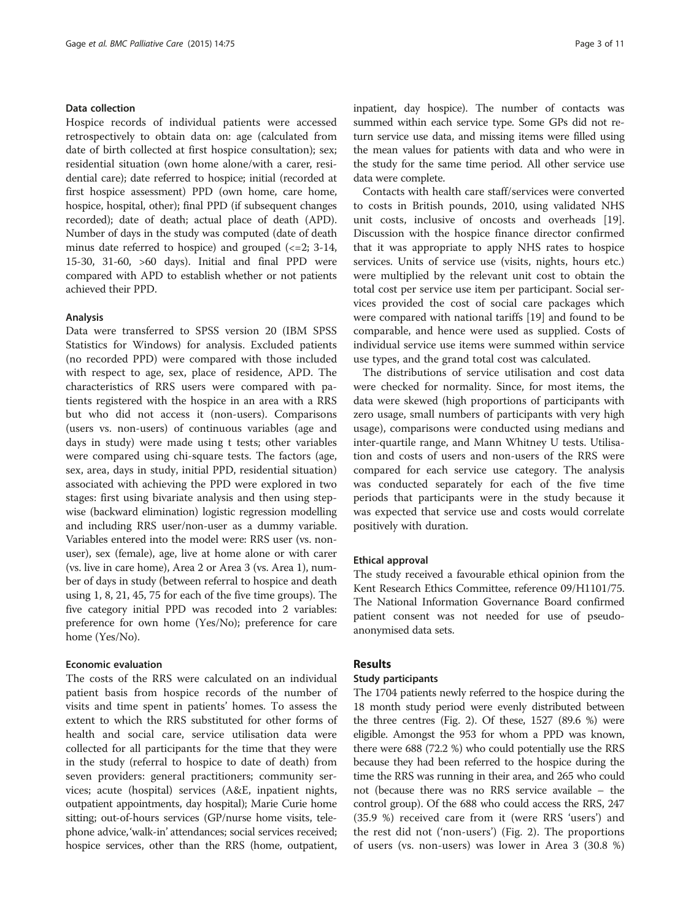#### Data collection

Hospice records of individual patients were accessed retrospectively to obtain data on: age (calculated from date of birth collected at first hospice consultation); sex; residential situation (own home alone/with a carer, residential care); date referred to hospice; initial (recorded at first hospice assessment) PPD (own home, care home, hospice, hospital, other); final PPD (if subsequent changes recorded); date of death; actual place of death (APD). Number of days in the study was computed (date of death minus date referred to hospice) and grouped  $\left\langle \langle -2, 3-14, 2, 3-14 \rangle \right\}$ 15-30, 31-60, >60 days). Initial and final PPD were compared with APD to establish whether or not patients achieved their PPD.

#### Analysis

Data were transferred to SPSS version 20 (IBM SPSS Statistics for Windows) for analysis. Excluded patients (no recorded PPD) were compared with those included with respect to age, sex, place of residence, APD. The characteristics of RRS users were compared with patients registered with the hospice in an area with a RRS but who did not access it (non-users). Comparisons (users vs. non-users) of continuous variables (age and days in study) were made using t tests; other variables were compared using chi-square tests. The factors (age, sex, area, days in study, initial PPD, residential situation) associated with achieving the PPD were explored in two stages: first using bivariate analysis and then using stepwise (backward elimination) logistic regression modelling and including RRS user/non-user as a dummy variable. Variables entered into the model were: RRS user (vs. nonuser), sex (female), age, live at home alone or with carer (vs. live in care home), Area 2 or Area 3 (vs. Area 1), number of days in study (between referral to hospice and death using 1, 8, 21, 45, 75 for each of the five time groups). The five category initial PPD was recoded into 2 variables: preference for own home (Yes/No); preference for care home (Yes/No).

#### Economic evaluation

The costs of the RRS were calculated on an individual patient basis from hospice records of the number of visits and time spent in patients' homes. To assess the extent to which the RRS substituted for other forms of health and social care, service utilisation data were collected for all participants for the time that they were in the study (referral to hospice to date of death) from seven providers: general practitioners; community services; acute (hospital) services (A&E, inpatient nights, outpatient appointments, day hospital); Marie Curie home sitting; out-of-hours services (GP/nurse home visits, telephone advice, 'walk-in' attendances; social services received; hospice services, other than the RRS (home, outpatient,

inpatient, day hospice). The number of contacts was summed within each service type. Some GPs did not return service use data, and missing items were filled using the mean values for patients with data and who were in the study for the same time period. All other service use data were complete.

Contacts with health care staff/services were converted to costs in British pounds, 2010, using validated NHS unit costs, inclusive of oncosts and overheads [\[19](#page-10-0)]. Discussion with the hospice finance director confirmed that it was appropriate to apply NHS rates to hospice services. Units of service use (visits, nights, hours etc.) were multiplied by the relevant unit cost to obtain the total cost per service use item per participant. Social services provided the cost of social care packages which were compared with national tariffs [[19\]](#page-10-0) and found to be comparable, and hence were used as supplied. Costs of individual service use items were summed within service use types, and the grand total cost was calculated.

The distributions of service utilisation and cost data were checked for normality. Since, for most items, the data were skewed (high proportions of participants with zero usage, small numbers of participants with very high usage), comparisons were conducted using medians and inter-quartile range, and Mann Whitney U tests. Utilisation and costs of users and non-users of the RRS were compared for each service use category. The analysis was conducted separately for each of the five time periods that participants were in the study because it was expected that service use and costs would correlate positively with duration.

#### Ethical approval

The study received a favourable ethical opinion from the Kent Research Ethics Committee, reference 09/H1101/75. The National Information Governance Board confirmed patient consent was not needed for use of pseudoanonymised data sets.

#### Results

#### Study participants

The 1704 patients newly referred to the hospice during the 18 month study period were evenly distributed between the three centres (Fig. 2). Of these, 1527 (89.6 %) were eligible. Amongst the 953 for whom a PPD was known, there were 688 (72.2 %) who could potentially use the RRS because they had been referred to the hospice during the time the RRS was running in their area, and 265 who could not (because there was no RRS service available – the control group). Of the 688 who could access the RRS, 247 (35.9 %) received care from it (were RRS 'users') and the rest did not ('non-users') (Fig. 2). The proportions of users (vs. non-users) was lower in Area 3 (30.8 %)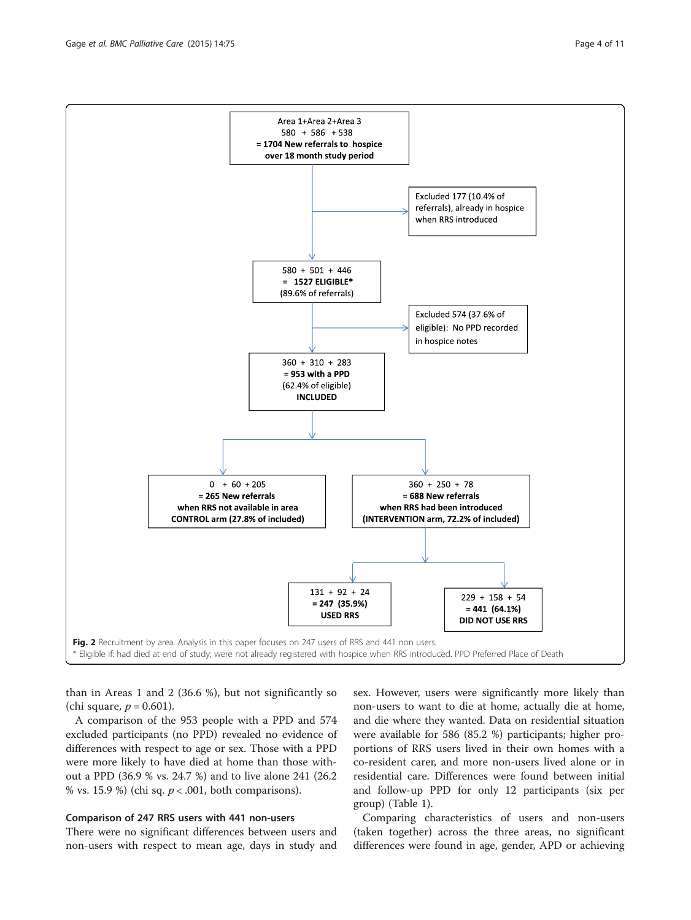

than in Areas 1 and 2 (36.6 %), but not significantly so (chi square,  $p = 0.601$ ).

A comparison of the 953 people with a PPD and 574 excluded participants (no PPD) revealed no evidence of differences with respect to age or sex. Those with a PPD were more likely to have died at home than those without a PPD (36.9 % vs. 24.7 %) and to live alone 241 (26.2 % vs. 15.9 %) (chi sq.  $p < .001$ , both comparisons).

#### Comparison of 247 RRS users with 441 non-users

There were no significant differences between users and non-users with respect to mean age, days in study and

sex. However, users were significantly more likely than non-users to want to die at home, actually die at home, and die where they wanted. Data on residential situation were available for 586 (85.2 %) participants; higher proportions of RRS users lived in their own homes with a co-resident carer, and more non-users lived alone or in residential care. Differences were found between initial and follow-up PPD for only 12 participants (six per group) (Table 1).

Comparing characteristics of users and non-users (taken together) across the three areas, no significant differences were found in age, gender, APD or achieving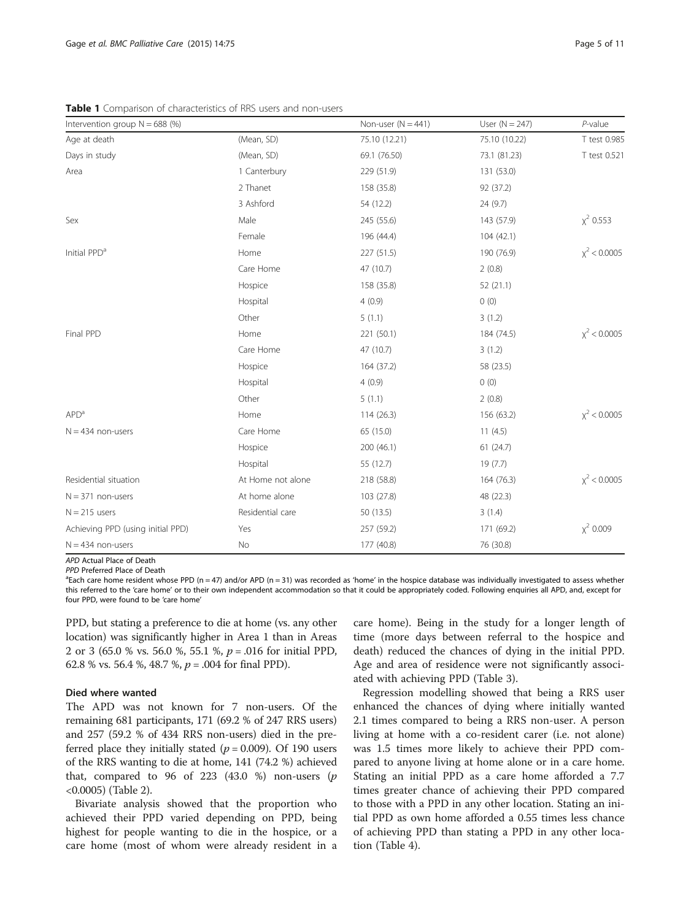| <b>Table 1</b> Comparison of characteristics of RRS users and non-users |  |
|-------------------------------------------------------------------------|--|
|-------------------------------------------------------------------------|--|

| Intervention group $N = 688$ (%)  |                   | Non-user ( $N = 441$ ) | User ( $N = 247$ ) | P-value        |
|-----------------------------------|-------------------|------------------------|--------------------|----------------|
| Age at death                      | (Mean, SD)        | 75.10 (12.21)          | 75.10 (10.22)      | T test 0.985   |
| Days in study                     | (Mean, SD)        | 69.1 (76.50)           | 73.1 (81.23)       | T test 0.521   |
| Area                              | 1 Canterbury      | 229 (51.9)             | 131 (53.0)         |                |
|                                   | 2 Thanet          | 158 (35.8)             | 92 (37.2)          |                |
|                                   | 3 Ashford         | 54 (12.2)              | 24 (9.7)           |                |
| Sex                               | Male              | 245 (55.6)             | 143 (57.9)         | $x^2$ 0.553    |
|                                   | Female            | 196 (44.4)             | 104 (42.1)         |                |
| Initial PPD <sup>a</sup>          | Home              | 227 (51.5)             | 190 (76.9)         | $x^2$ < 0.0005 |
|                                   | Care Home         | 47 (10.7)              | 2(0.8)             |                |
|                                   | Hospice           | 158 (35.8)             | 52(21.1)           |                |
|                                   | Hospital          | 4(0.9)                 | 0(0)               |                |
|                                   | Other             | 5(1.1)                 | 3(1.2)             |                |
| Final PPD                         | Home              | 221 (50.1)             | 184 (74.5)         | $x^2$ < 0.0005 |
|                                   | Care Home         | 47 (10.7)              | 3(1.2)             |                |
|                                   | Hospice           | 164 (37.2)             | 58 (23.5)          |                |
|                                   | Hospital          | 4(0.9)                 | 0(0)               |                |
|                                   | Other             | 5(1.1)                 | 2(0.8)             |                |
| APD <sup>a</sup>                  | Home              | 114(26.3)              | 156 (63.2)         | $x^2$ < 0.0005 |
| $N = 434$ non-users               | Care Home         | 65 (15.0)              | 11(4.5)            |                |
|                                   | Hospice           | 200 (46.1)             | 61(24.7)           |                |
|                                   | Hospital          | 55 (12.7)              | 19(7.7)            |                |
| Residential situation             | At Home not alone | 218 (58.8)             | 164 (76.3)         | $x^2$ < 0.0005 |
| $N = 371$ non-users               | At home alone     | 103 (27.8)             | 48 (22.3)          |                |
| $N = 215$ users                   | Residential care  | 50 (13.5)              | 3(1.4)             |                |
| Achieving PPD (using initial PPD) | Yes               | 257 (59.2)             | 171 (69.2)         | $x^2$ 0.009    |
| $N = 434$ non-users               | No                | 177 (40.8)             | 76 (30.8)          |                |

APD Actual Place of Death

PPD Preferred Place of Death

<sup>a</sup>Each care home resident whose PPD (n = 47) and/or APD (n = 31) was recorded as 'home' in the hospice database was individually investigated to assess whether this referred to the 'care home' or to their own independent accommodation so that it could be appropriately coded. Following enquiries all APD, and, except for four PPD, were found to be 'care home'

PPD, but stating a preference to die at home (vs. any other location) was significantly higher in Area 1 than in Areas 2 or 3 (65.0 % vs. 56.0 %, 55.1 %, p = .016 for initial PPD, 62.8 % vs. 56.4 %, 48.7 %,  $p = .004$  for final PPD).

#### Died where wanted

The APD was not known for 7 non-users. Of the remaining 681 participants, 171 (69.2 % of 247 RRS users) and 257 (59.2 % of 434 RRS non-users) died in the preferred place they initially stated ( $p = 0.009$ ). Of 190 users of the RRS wanting to die at home, 141 (74.2 %) achieved that, compared to 96 of 223 (43.0 %) non-users  $(p)$ <0.0005) (Table 2).

Bivariate analysis showed that the proportion who achieved their PPD varied depending on PPD, being highest for people wanting to die in the hospice, or a care home (most of whom were already resident in a

care home). Being in the study for a longer length of time (more days between referral to the hospice and death) reduced the chances of dying in the initial PPD. Age and area of residence were not significantly associated with achieving PPD (Table 3).

Regression modelling showed that being a RRS user enhanced the chances of dying where initially wanted 2.1 times compared to being a RRS non-user. A person living at home with a co-resident carer (i.e. not alone) was 1.5 times more likely to achieve their PPD compared to anyone living at home alone or in a care home. Stating an initial PPD as a care home afforded a 7.7 times greater chance of achieving their PPD compared to those with a PPD in any other location. Stating an initial PPD as own home afforded a 0.55 times less chance of achieving PPD than stating a PPD in any other location (Table [4](#page-6-0)).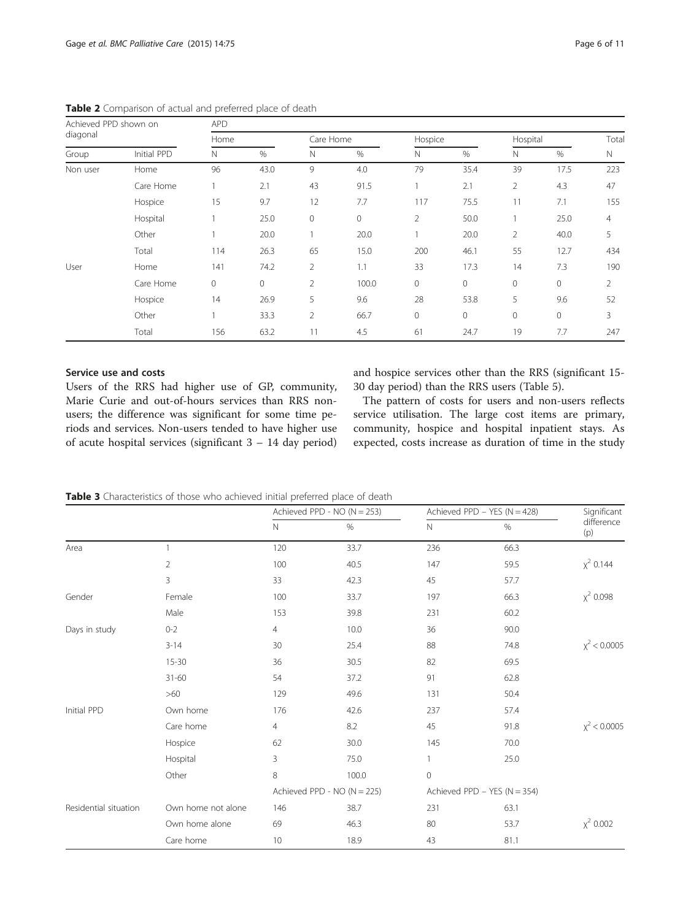| Achieved PPD shown on |             | <b>APD</b>   |         |                |         |                |             |                     |             |                |  |  |
|-----------------------|-------------|--------------|---------|----------------|---------|----------------|-------------|---------------------|-------------|----------------|--|--|
| diagonal              |             | Home         |         | Care Home      |         | Hospice        |             | Hospital            |             | Total          |  |  |
| Group                 | Initial PPD | N            | $\%$    | N              | $\%$    | N              | %           | N                   | $\%$        | $\mathbb N$    |  |  |
| Non user              | Home        | 96           | 43.0    | 9              | 4.0     | 79             | 35.4        | 39                  | 17.5        | 223            |  |  |
|                       | Care Home   |              | 2.1     | 43             | 91.5    |                | 2.1         | $\overline{2}$      | 4.3         | 47             |  |  |
|                       | Hospice     | 15           | 9.7     | 12             | 7.7     | 117            | 75.5        | 11                  | 7.1         | 155            |  |  |
|                       | Hospital    |              | 25.0    | $\overline{0}$ | $\circ$ | $\overline{2}$ | 50.0        |                     | 25.0        | $\overline{4}$ |  |  |
|                       | Other       |              | 20.0    |                | 20.0    |                | 20.0        | 2                   | 40.0        | 5              |  |  |
|                       | Total       | 114          | 26.3    | 65             | 15.0    | 200            | 46.1        | 55                  | 12.7        | 434            |  |  |
| User                  | Home        | 141          | 74.2    | $\overline{2}$ | 1.1     | 33             | 17.3        | 14                  | 7.3         | 190            |  |  |
|                       | Care Home   | $\mathbf{0}$ | $\circ$ | $\overline{2}$ | 100.0   | 0              | $\mathbf 0$ | $\mathsf{O}\xspace$ | $\mathbf 0$ | $\overline{2}$ |  |  |
|                       | Hospice     | 14           | 26.9    | 5              | 9.6     | 28             | 53.8        | 5                   | 9.6         | 52             |  |  |
|                       | Other       |              | 33.3    | $\overline{2}$ | 66.7    | 0              | $\mathbf 0$ | $\mathbf 0$         | 0           | 3              |  |  |
|                       | Total       | 156          | 63.2    | 11             | 4.5     | 61             | 24.7        | 19                  | 7.7         | 247            |  |  |

<span id="page-6-0"></span>Table 2 Comparison of actual and preferred place of death

#### Service use and costs

Users of the RRS had higher use of GP, community, Marie Curie and out-of-hours services than RRS nonusers; the difference was significant for some time periods and services. Non-users tended to have higher use of acute hospital services (significant 3 – 14 day period) and hospice services other than the RRS (significant 15- 30 day period) than the RRS users (Table [5](#page-7-0)).

The pattern of costs for users and non-users reflects service utilisation. The large cost items are primary, community, hospice and hospital inpatient stays. As expected, costs increase as duration of time in the study

Table 3 Characteristics of those who achieved initial preferred place of death

|                       |                    |                | Achieved PPD - NO (N = 253) |                | Achieved PPD - YES ( $N = 428$ ) | Significant       |
|-----------------------|--------------------|----------------|-----------------------------|----------------|----------------------------------|-------------------|
|                       |                    | $\mathbb N$    | $\%$                        | $\mathbb N$    | $\%$                             | difference<br>(p) |
| Area                  | 1                  | 120            | 33.7                        | 236            | 66.3                             |                   |
|                       | $\overline{2}$     | 100            | 40.5                        | 147            | 59.5                             | $x^2$ 0.144       |
|                       | 3                  | 33             | 42.3                        | 45             | 57.7                             |                   |
| Gender                | Female             | 100            | 33.7                        | 197            | 66.3                             | $\chi^2$ 0.098    |
|                       | Male               | 153            | 39.8                        | 231            | 60.2                             |                   |
| Days in study         | $0 - 2$            | $\overline{4}$ | 10.0                        | 36             | 90.0                             |                   |
|                       | $3 - 14$           | 30             | 25.4                        | 88             | 74.8                             | $\chi^2$ < 0.0005 |
|                       | $15 - 30$          | 36             | 30.5                        | 82             | 69.5                             |                   |
|                       | $31 - 60$          | 54             | 37.2                        | 91             | 62.8                             |                   |
|                       | $>60$              | 129            | 49.6                        | 131            | 50.4                             |                   |
| Initial PPD           | Own home           | 176            | 42.6                        | 237            | 57.4                             |                   |
|                       | Care home          | $\overline{4}$ | 8.2                         | 45             | 91.8                             | $\chi^2$ < 0.0005 |
|                       | Hospice            | 62             | 30.0                        | 145            | 70.0                             |                   |
|                       | Hospital           | 3              | 75.0                        | $\overline{1}$ | 25.0                             |                   |
|                       | Other              | 8              | 100.0                       | $\circ$        |                                  |                   |
|                       |                    |                | Achieved PPD - NO (N = 225) |                | Achieved PPD - YES ( $N = 354$ ) |                   |
| Residential situation | Own home not alone | 146            | 38.7                        | 231            | 63.1                             |                   |
|                       | Own home alone     | 69             | 46.3                        | 80             | 53.7                             | $\chi^2$ 0.002    |
|                       | Care home          | 10             | 18.9                        | 43             | 81.1                             |                   |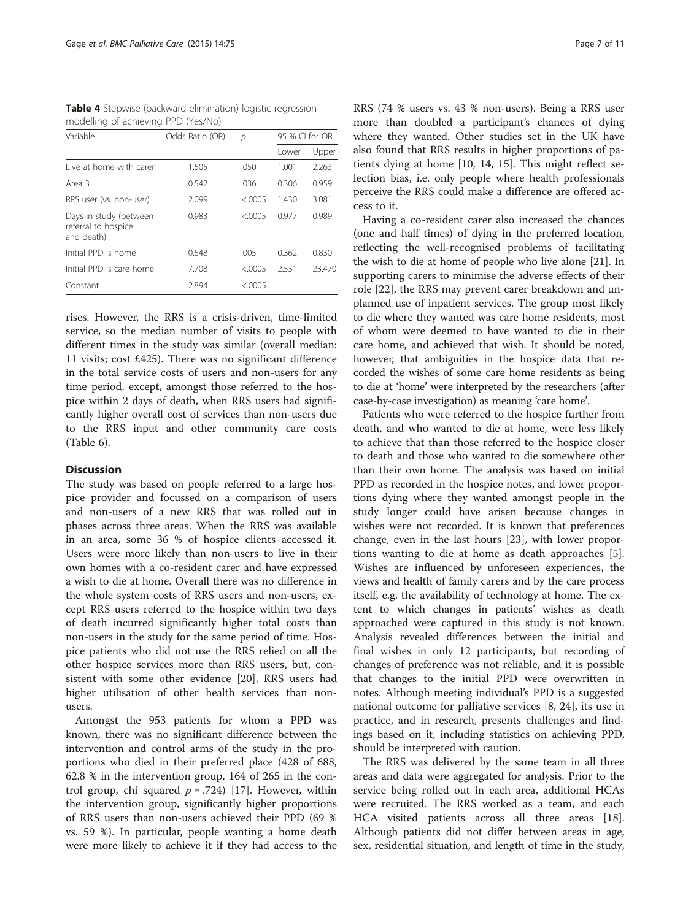<span id="page-7-0"></span>Table 4 Stepwise (backward elimination) logistic regression modelling of achieving PPD (Yes/No)

| Variable                                                    | Odds Ratio (OR) | р       | 95 % CI for OR |        |  |  |
|-------------------------------------------------------------|-----------------|---------|----------------|--------|--|--|
|                                                             |                 |         | Lower          | Upper  |  |  |
| Live at home with carer                                     | 1.505           | .050    | 1.001          | 2.263  |  |  |
| Area 3                                                      | 0.542           | .036    | 0.306          | 0.959  |  |  |
| RRS user (vs. non-user)                                     | 2.099           | &0.0005 | 1430           | 3.081  |  |  |
| Days in study (between<br>referral to hospice<br>and death) | 0.983           | &0.0005 | 0.977          | 0.989  |  |  |
| Initial PPD is home                                         | 0.548           | .005    | 0.362          | 0.830  |  |  |
| Initial PPD is care home                                    | 7.708           | < 0005  | 2.531          | 23.470 |  |  |
| Constant                                                    | 2.894           | &0.0005 |                |        |  |  |

rises. However, the RRS is a crisis-driven, time-limited service, so the median number of visits to people with different times in the study was similar (overall median: 11 visits; cost £425). There was no significant difference in the total service costs of users and non-users for any time period, except, amongst those referred to the hospice within 2 days of death, when RRS users had significantly higher overall cost of services than non-users due to the RRS input and other community care costs (Table [6\)](#page-8-0).

#### **Discussion**

The study was based on people referred to a large hospice provider and focussed on a comparison of users and non-users of a new RRS that was rolled out in phases across three areas. When the RRS was available in an area, some 36 % of hospice clients accessed it. Users were more likely than non-users to live in their own homes with a co-resident carer and have expressed a wish to die at home. Overall there was no difference in the whole system costs of RRS users and non-users, except RRS users referred to the hospice within two days of death incurred significantly higher total costs than non-users in the study for the same period of time. Hospice patients who did not use the RRS relied on all the other hospice services more than RRS users, but, consistent with some other evidence [\[20](#page-10-0)], RRS users had higher utilisation of other health services than nonusers.

Amongst the 953 patients for whom a PPD was known, there was no significant difference between the intervention and control arms of the study in the proportions who died in their preferred place (428 of 688, 62.8 % in the intervention group, 164 of 265 in the control group, chi squared  $p = .724$ ) [\[17](#page-10-0)]. However, within the intervention group, significantly higher proportions of RRS users than non-users achieved their PPD (69 % vs. 59 %). In particular, people wanting a home death were more likely to achieve it if they had access to the RRS (74 % users vs. 43 % non-users). Being a RRS user more than doubled a participant's chances of dying where they wanted. Other studies set in the UK have also found that RRS results in higher proportions of patients dying at home [\[10, 14](#page-10-0), [15](#page-10-0)]. This might reflect selection bias, i.e. only people where health professionals perceive the RRS could make a difference are offered access to it.

Having a co-resident carer also increased the chances (one and half times) of dying in the preferred location, reflecting the well-recognised problems of facilitating the wish to die at home of people who live alone [[21\]](#page-10-0). In supporting carers to minimise the adverse effects of their role [[22](#page-10-0)], the RRS may prevent carer breakdown and unplanned use of inpatient services. The group most likely to die where they wanted was care home residents, most of whom were deemed to have wanted to die in their care home, and achieved that wish. It should be noted, however, that ambiguities in the hospice data that recorded the wishes of some care home residents as being to die at 'home' were interpreted by the researchers (after case-by-case investigation) as meaning 'care home'.

Patients who were referred to the hospice further from death, and who wanted to die at home, were less likely to achieve that than those referred to the hospice closer to death and those who wanted to die somewhere other than their own home. The analysis was based on initial PPD as recorded in the hospice notes, and lower proportions dying where they wanted amongst people in the study longer could have arisen because changes in wishes were not recorded. It is known that preferences change, even in the last hours [[23](#page-10-0)], with lower proportions wanting to die at home as death approaches [\[5](#page-10-0)]. Wishes are influenced by unforeseen experiences, the views and health of family carers and by the care process itself, e.g. the availability of technology at home. The extent to which changes in patients' wishes as death approached were captured in this study is not known. Analysis revealed differences between the initial and final wishes in only 12 participants, but recording of changes of preference was not reliable, and it is possible that changes to the initial PPD were overwritten in notes. Although meeting individual's PPD is a suggested national outcome for palliative services [\[8](#page-10-0), [24\]](#page-10-0), its use in practice, and in research, presents challenges and findings based on it, including statistics on achieving PPD, should be interpreted with caution.

The RRS was delivered by the same team in all three areas and data were aggregated for analysis. Prior to the service being rolled out in each area, additional HCAs were recruited. The RRS worked as a team, and each HCA visited patients across all three areas [\[18](#page-10-0)]. Although patients did not differ between areas in age, sex, residential situation, and length of time in the study,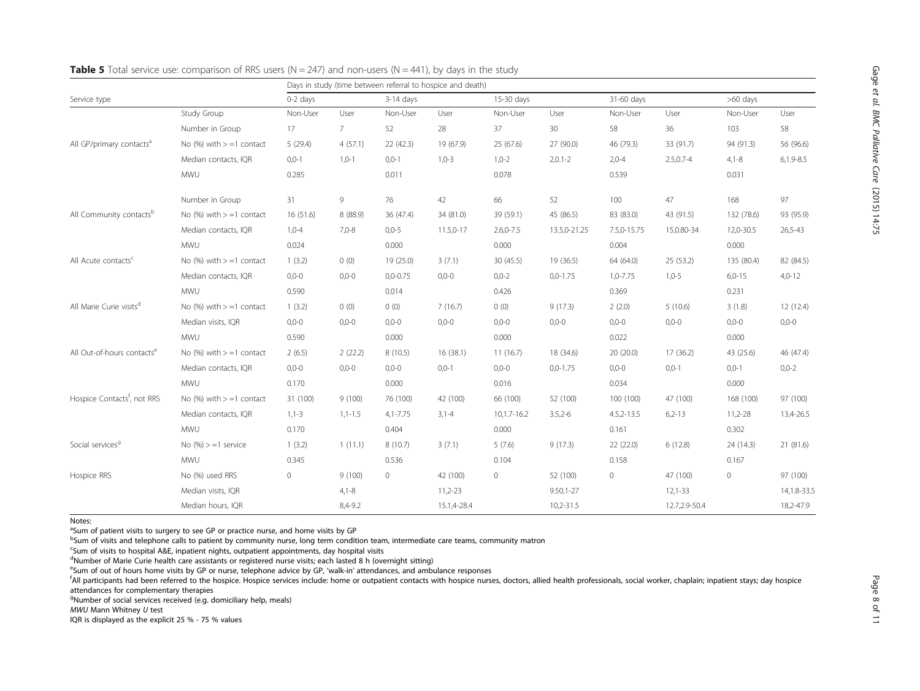|                                         |                              | Days in study (time between referral to hospice and death) |                |              |             |               |                |              |                |            |                |  |  |
|-----------------------------------------|------------------------------|------------------------------------------------------------|----------------|--------------|-------------|---------------|----------------|--------------|----------------|------------|----------------|--|--|
| Service type                            |                              | $0-2$ days                                                 |                | $3-14$ days  |             | 15-30 days    |                | 31-60 days   |                | >60 days   |                |  |  |
|                                         | Study Group                  | Non-User                                                   | User           | Non-User     | User        | Non-User      | User           | Non-User     | User           | Non-User   | User           |  |  |
|                                         | Number in Group              | 17                                                         | $\overline{7}$ | 52           | 28          | 37            | 30             | 58           | 36             | 103        | 58             |  |  |
| All GP/primary contacts <sup>a</sup>    | No $(%)$ with $> =1$ contact | 5(29.4)                                                    | 4(57.1)        | 22 (42.3)    | 19 (67.9)   | 25 (67.6)     | 27 (90.0)      | 46 (79.3)    | 33 (91.7)      | 94 (91.3)  | 56 (96.6)      |  |  |
|                                         | Median contacts, IQR         | $0,0-1$                                                    | $1,0-1$        | $0,0-1$      | $1,0-3$     | $1,0-2$       | $2,0.1 - 2$    | $2,0-4$      | $2.5, 0.7 - 4$ | $4,1 - 8$  | $6,1.9 - 8.5$  |  |  |
|                                         | <b>MWU</b>                   | 0.285                                                      |                | 0.011        |             | 0.078         |                | 0.539        |                | 0.031      |                |  |  |
|                                         | Number in Group              | 31                                                         | 9              | 76           | 42          | 66            | 52             | 100          | 47             | 168        | 97             |  |  |
| All Community contacts <sup>b</sup>     | No $(%)$ with $> =1$ contact | 16(51.6)                                                   | 8 (88.9)       | 36 (47.4)    | 34 (81.0)   | 39 (59.1)     | 45 (86.5)      | 83 (83.0)    | 43 (91.5)      | 132 (78.6) | 93 (95.9)      |  |  |
|                                         | Median contacts, IQR         | $1,0-4$                                                    | $7,0-8$        | $0,0-5$      | 11.5,0-17   | $2.6,0 - 7.5$ | 13.5,0-21.25   | 7.5,0-15.75  | 15,0.80-34     | 12,0-30.5  | 26,5-43        |  |  |
|                                         | <b>MWU</b>                   | 0.024                                                      |                | 0.000        |             | 0.000         |                | 0.004        |                | 0.000      |                |  |  |
| All Acute contacts <sup>c</sup>         | No $(%)$ with $> =1$ contact | 1(3.2)                                                     | 0(0)           | 19 (25.0)    | 3(7.1)      | 30(45.5)      | 19 (36.5)      | 64 (64.0)    | 25 (53.2)      | 135 (80.4) | 82 (84.5)      |  |  |
|                                         | Median contacts, IQR         | $0,0-0$                                                    | $0,0-0$        | $0,0 - 0.75$ | $0.0 - 0$   | $0,0-2$       | $0.0 - 1.75$   | 1,0-7.75     | $1,0-5$        | $6,0-15$   | $4,0-12$       |  |  |
|                                         | MWU                          | 0.590                                                      |                | 0.014        |             | 0.426         |                | 0.369        |                | 0.231      |                |  |  |
| All Marie Curie visits <sup>d</sup>     | No $(%)$ with $> =1$ contact | 1(3.2)                                                     | 0(0)           | 0(0)         | 7(16.7)     | 0(0)          | 9(17.3)        | 2(2.0)       | 5(10.6)        | 3(1.8)     | 12 (12.4)      |  |  |
|                                         | Median visits, IQR           | $0,0-0$                                                    | $0,0-0$        | $0,0-0$      | $0,0-0$     | $0,0-0$       | $0,0-0$        | $0,0-0$      | $0,0-0$        | $0,0-0$    | $0,0-0$        |  |  |
|                                         | <b>MWU</b>                   | 0.590                                                      |                | 0.000        |             | 0.000         |                | 0.022        |                | 0.000      |                |  |  |
| All Out-of-hours contacts <sup>e</sup>  | No $(%)$ with $> =1$ contact | 2(6.5)                                                     | 2(22.2)        | 8(10.5)      | 16 (38.1)   | 11(16.7)      | 18 (34.6)      | 20(20.0)     | 17 (36.2)      | 43 (25.6)  | 46 (47.4)      |  |  |
|                                         | Median contacts, IQR         | $0,0-0$                                                    | $0,0-0$        | $0,0-0$      | $0,0-1$     | $0,0-0$       | $0.0 - 1.75$   | $0,0-0$      | $0,0-1$        | $0,0-1$    | $0,0-2$        |  |  |
|                                         | <b>MWU</b>                   | 0.170                                                      |                | 0.000        |             | 0.016         |                | 0.034        |                | 0.000      |                |  |  |
| Hospice Contacts <sup>f</sup> , not RRS | No $(%)$ with $> =1$ contact | 31 (100)                                                   | 9(100)         | 76 (100)     | 42 (100)    | 66 (100)      | 52 (100)       | 100 (100)    | 47 (100)       | 168 (100)  | 97 (100)       |  |  |
|                                         | Median contacts, IQR         | $1,1-3$                                                    | $1,1 - 1.5$    | $4,1 - 7.75$ | $3,1 - 4$   | 10,1.7-16.2   | $3.5,2-6$      | $4.5,2-13.5$ | $6,2-13$       | $11,2-28$  | 13,4-26.5      |  |  |
|                                         | <b>MWU</b>                   | 0.170                                                      |                | 0.404        |             | 0.000         |                | 0.161        |                | 0.302      |                |  |  |
| Social services <sup>9</sup>            | No $(%)=1$ service           | 1(3.2)                                                     | 1(11.1)        | 8(10.7)      | 3(7.1)      | 5(7.6)        | 9(17.3)        | 22(22.0)     | 6(12.8)        | 24 (14.3)  | 21 (81.6)      |  |  |
|                                         | <b>MWU</b>                   | 0.345                                                      |                | 0.536        |             | 0.104         |                | 0.158        |                | 0.167      |                |  |  |
| Hospice RRS                             | No (%) used RRS              | 0                                                          | 9(100)         | $\circ$      | 42 (100)    | $\circ$       | 52 (100)       | $\circ$      | 47 (100)       | $\circ$    | 97 (100)       |  |  |
|                                         | Median visits, IQR           |                                                            | $4,1 - 8$      |              | $11,2-23$   |               | $9.50, 1 - 27$ |              | $12,1 - 33$    |            | 14, 1.8 - 33.5 |  |  |
|                                         | Median hours, IQR            |                                                            | $8,4 - 9.2$    |              | 15.1,4-28.4 |               | $10,2 - 31.5$  |              | 12.7,2.9-50.4  |            | 18,2-47.9      |  |  |

<span id="page-8-0"></span>**Table 5** Total service use: comparison of RRS users ( $N = 247$ ) and non-users ( $N = 441$ ), by days in the study

Notes:

<sup>a</sup>Sum of patient visits to surgery to see GP or practice nurse, and home visits by GP

bSum of visits and telephone calls to patient by community nurse, long term condition team, intermediate care teams, community matron

c Sum of visits to hospital A&E, inpatient nights, outpatient appointments, day hospital visits

<sup>d</sup>Number of Marie Curie health care assistants or registered nurse visits; each lasted 8 h (overnight sitting)

e<br>Sum of out of hours home visits by GP or nurse, telephone advice by GP, 'walk-in' attendances, and ambulance responses

<sup>f</sup>All participants had been referred to the hospice. Hospice services include: home or outpatient contacts with hospice nurses, doctors, allied health professionals, social worker, chaplain; inpatient stays; day hospice attendances for complementary therapies

<sup>g</sup>Number of social services received (e.g. domiciliary help, meals)

MWU Mann Whitney U test

IQR is displayed as the explicit 25 % - 75 % values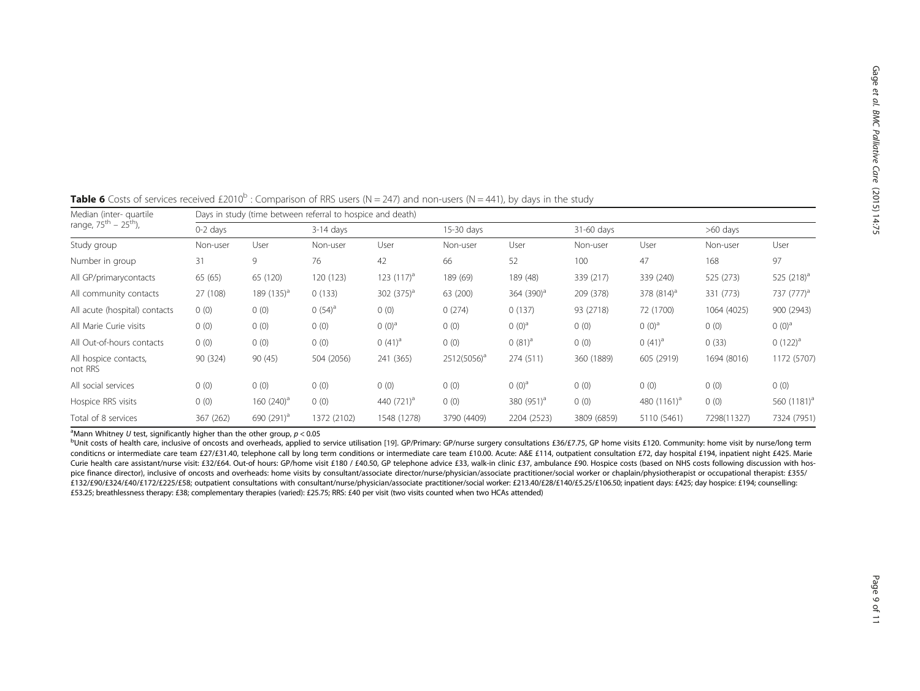| Median (inter- quartile<br>range, 75 <sup>th</sup> - 25 <sup>th</sup> ),<br>Study group | Days in study (time between referral to hospice and death) |                        |             |               |                         |                        |             |                |             |                         |  |  |  |
|-----------------------------------------------------------------------------------------|------------------------------------------------------------|------------------------|-------------|---------------|-------------------------|------------------------|-------------|----------------|-------------|-------------------------|--|--|--|
|                                                                                         | $0-2$ days                                                 |                        | $3-14$ days |               | 15-30 days              |                        | 31-60 days  |                | $>60$ days  |                         |  |  |  |
|                                                                                         | Non-user                                                   | User                   | Non-user    | User          | Non-user                | User                   | Non-user    | User           | Non-user    | User                    |  |  |  |
| Number in group                                                                         | 31                                                         | 9                      | 76          | 42            | 66                      | 52                     | 100         | 47             | 168         | 97                      |  |  |  |
| All GP/primarycontacts                                                                  | 65 (65)                                                    | 65 (120)               | 120 (123)   | 123 $(117)^a$ | 189 (69)                | 189 (48)               | 339 (217)   | 339 (240)      | 525 (273)   | 525 $(218)^a$           |  |  |  |
| All community contacts                                                                  | 27 (108)                                                   | 189 $(135)^a$          | 0(133)      | 302 $(375)^a$ | 63 (200)                | 364 (390) <sup>a</sup> | 209 (378)   | 378 $(814)^a$  | 331 (773)   | 737 (777) <sup>a</sup>  |  |  |  |
| All acute (hospital) contacts                                                           | 0(0)                                                       | 0(0)                   | $0(54)^{a}$ | 0(0)          | 0(274)                  | 0(137)                 | 93 (2718)   | 72 (1700)      | 1064 (4025) | 900 (2943)              |  |  |  |
| All Marie Curie visits                                                                  | 0(0)                                                       | 0(0)                   | 0(0)        | $(0)(0)^a$    | 0(0)                    | $0(0)^a$               | 0(0)        | $(0)(0)^a$     | 0(0)        | $(0)(0)^a$              |  |  |  |
| All Out-of-hours contacts                                                               | 0(0)                                                       | 0(0)                   | 0(0)        | $(41)^a$      | 0(0)                    | $(81)^a$               | 0(0)        | $(41)^a$       | 0(33)       | $0(122)^a$              |  |  |  |
| All hospice contacts,<br>not RRS                                                        | 90 (324)                                                   | 90(45)                 | 504 (2056)  | 241 (365)     | 2512(5056) <sup>a</sup> | 274 (511)              | 360 (1889)  | 605 (2919)     | 1694 (8016) | 1172 (5707)             |  |  |  |
| All social services                                                                     | 0(0)                                                       | 0(0)                   | 0(0)        | 0(0)          | 0(0)                    | $(0)(0)^a$             | 0(0)        | 0(0)           | 0(0)        | 0(0)                    |  |  |  |
| Hospice RRS visits                                                                      | 0(0)                                                       | 160 $(240)^a$          | 0(0)        | 440 $(721)^a$ | 0(0)                    | 380 (951) <sup>a</sup> | 0(0)        | 480 $(1161)^a$ | 0(0)        | 560 (1181) <sup>a</sup> |  |  |  |
| Total of 8 services                                                                     | 367 (262)                                                  | 690 (291) <sup>a</sup> | 1372 (2102) | 1548 (1278)   | 3790 (4409)             | 2204 (2523)            | 3809 (6859) | 5110 (5461)    | 7298(11327) | 7324 (7951)             |  |  |  |

Table 6 Costs of services received £2010<sup>b</sup> : Comparison of RRS users (N = 247) and non-users (N = 441), by days in the study

<sup>a</sup>Mann Whitney *U* test, significantly higher than the other group,  $p < 0.05$ 

<sup>b</sup>Unit costs of health care, inclusive of oncosts and overheads, applied to service utilisation [\[19\]](#page-10-0). GP/Primary: GP/nurse surgery consultations £36/£7.75, GP home visits £120. Community: home visit by nurse/long term conditicns or intermediate care team £27/£31.40, telephone call by long term conditions or intermediate care team £10.00. Acute: A&E £114, outpatient consultation £72, day hospital £194, inpatient night £425. Marie Curie health care assistant/nurse visit: £32/£64. Out-of hours: GP/home visit £180 / £40.50, GP telephone advice £33, walk-in clinic £37, ambulance £90. Hospice costs (based on NHS costs following discussion with hospice finance director), inclusive of oncosts and overheads: home visits by consultant/associate director/nurse/physician/associate practitioner/social worker or chaplain/physiotherapist or occupational therapist: £355/ £132/£90/£324/£40/£172/£225/£58; outpatient consultations with consultant/nurse/physician/associate practitioner/social worker: £213.40/£28/£140/£5.25/£106.50; inpatient days: £425; day hospice: £194; counselling: £53.25; breathlessness therapy: £38; complementary therapies (varied): £25.75; RRS: £40 per visit (two visits counted when two HCAs attended)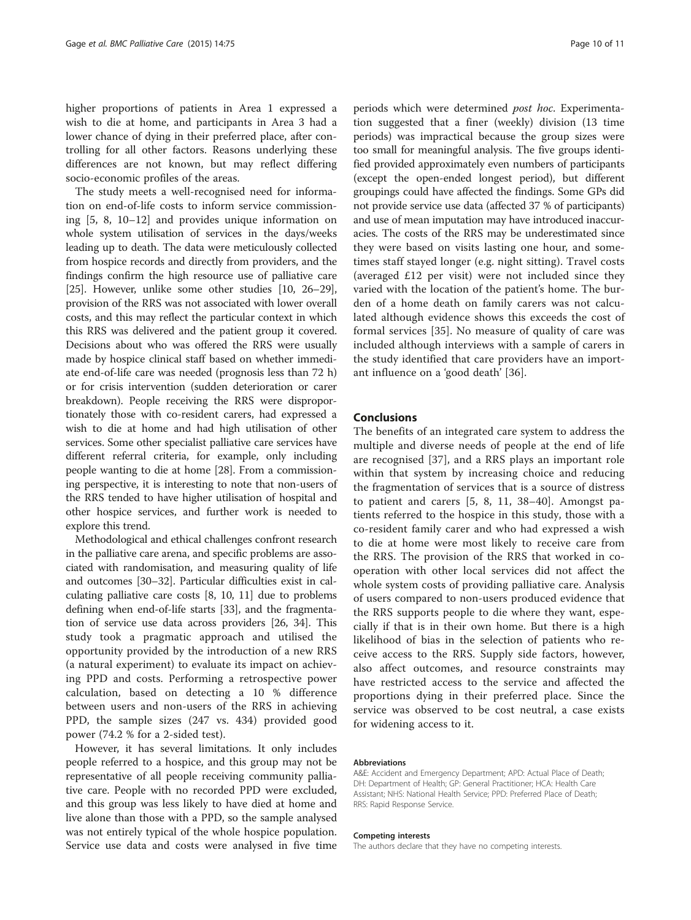<span id="page-10-0"></span>higher proportions of patients in Area 1 expressed a wish to die at home, and participants in Area 3 had a lower chance of dying in their preferred place, after controlling for all other factors. Reasons underlying these differences are not known, but may reflect differing socio-economic profiles of the areas.

The study meets a well-recognised need for information on end-of-life costs to inform service commissioning [5, 8, 10–12] and provides unique information on whole system utilisation of services in the days/weeks leading up to death. The data were meticulously collected from hospice records and directly from providers, and the findings confirm the high resource use of palliative care [25]. However, unlike some other studies [10, 26–29], provision of the RRS was not associated with lower overall costs, and this may reflect the particular context in which this RRS was delivered and the patient group it covered. Decisions about who was offered the RRS were usually made by hospice clinical staff based on whether immediate end-of-life care was needed (prognosis less than 72 h) or for crisis intervention (sudden deterioration or carer breakdown). People receiving the RRS were disproportionately those with co-resident carers, had expressed a wish to die at home and had high utilisation of other services. Some other specialist palliative care services have different referral criteria, for example, only including people wanting to die at home [28]. From a commissioning perspective, it is interesting to note that non-users of the RRS tended to have higher utilisation of hospital and other hospice services, and further work is needed to explore this trend.

Methodological and ethical challenges confront research in the palliative care arena, and specific problems are associated with randomisation, and measuring quality of life and outcomes [30–32]. Particular difficulties exist in calculating palliative care costs [8, 10, 11] due to problems defining when end-of-life starts [33], and the fragmentation of service use data across providers [26, 34]. This study took a pragmatic approach and utilised the opportunity provided by the introduction of a new RRS (a natural experiment) to evaluate its impact on achieving PPD and costs. Performing a retrospective power calculation, based on detecting a 10 % difference between users and non-users of the RRS in achieving PPD, the sample sizes (247 vs. 434) provided good power (74.2 % for a 2-sided test).

However, it has several limitations. It only includes people referred to a hospice, and this group may not be representative of all people receiving community palliative care. People with no recorded PPD were excluded, and this group was less likely to have died at home and live alone than those with a PPD, so the sample analysed was not entirely typical of the whole hospice population. Service use data and costs were analysed in five time

periods which were determined post hoc. Experimentation suggested that a finer (weekly) division (13 time periods) was impractical because the group sizes were too small for meaningful analysis. The five groups identified provided approximately even numbers of participants (except the open-ended longest period), but different groupings could have affected the findings. Some GPs did not provide service use data (affected 37 % of participants) and use of mean imputation may have introduced inaccuracies. The costs of the RRS may be underestimated since they were based on visits lasting one hour, and sometimes staff stayed longer (e.g. night sitting). Travel costs (averaged £12 per visit) were not included since they varied with the location of the patient's home. The burden of a home death on family carers was not calculated although evidence shows this exceeds the cost of formal services [35]. No measure of quality of care was included although interviews with a sample of carers in the study identified that care providers have an important influence on a 'good death' [36].

#### Conclusions

The benefits of an integrated care system to address the multiple and diverse needs of people at the end of life are recognised [37], and a RRS plays an important role within that system by increasing choice and reducing the fragmentation of services that is a source of distress to patient and carers [5, 8, 11, 38–40]. Amongst patients referred to the hospice in this study, those with a co-resident family carer and who had expressed a wish to die at home were most likely to receive care from the RRS. The provision of the RRS that worked in cooperation with other local services did not affect the whole system costs of providing palliative care. Analysis of users compared to non-users produced evidence that the RRS supports people to die where they want, especially if that is in their own home. But there is a high likelihood of bias in the selection of patients who receive access to the RRS. Supply side factors, however, also affect outcomes, and resource constraints may have restricted access to the service and affected the proportions dying in their preferred place. Since the service was observed to be cost neutral, a case exists for widening access to it.

#### Abbreviations

A&E: Accident and Emergency Department; APD: Actual Place of Death; DH: Department of Health; GP: General Practitioner; HCA: Health Care Assistant; NHS: National Health Service; PPD: Preferred Place of Death; RRS: Rapid Response Service.

#### Competing interests

The authors declare that they have no competing interests.